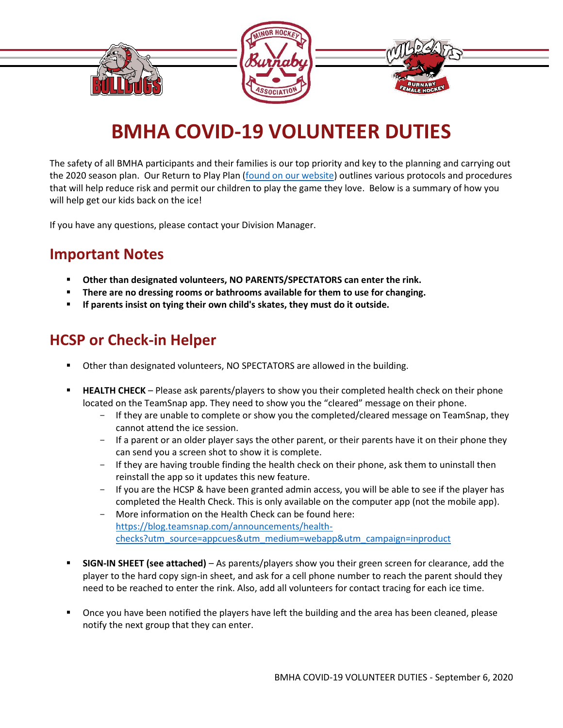

# **BMHA COVID-19 VOLUNTEER DUTIES**

The safety of all BMHA participants and their families is our top priority and key to the planning and carrying out the 2020 season plan. Our Return to Play Plan [\(found on our website\)](https://www.burnabyminor.com/covid-19/) outlines various protocols and procedures that will help reduce risk and permit our children to play the game they love. Below is a summary of how you will help get our kids back on the ice!

If you have any questions, please contact your Division Manager.

#### **Important Notes**

- **EXECTE 10 IN ORDER IS NO PARENTS AT A FORE SHARE IS NO PARENTS FORM** FIGURE THAME. **The rink. P**
- **There are no dressing rooms or bathrooms available for them to use for changing.**
- If parents insist on tying their own child's skates, they must do it outside.

### **HCSP or Check-in Helper**

- Other than designated volunteers, NO SPECTATORS are allowed in the building.
- **HEALTH CHECK** Please ask parents/players to show you their completed health check on their phone located on the TeamSnap app. They need to show you the "cleared" message on their phone.
	- If they are unable to complete or show you the completed/cleared message on TeamSnap, they cannot attend the ice session.
	- If a parent or an older player says the other parent, or their parents have it on their phone they can send you a screen shot to show it is complete.
	- If they are having trouble finding the health check on their phone, ask them to uninstall then reinstall the app so it updates this new feature.
	- If you are the HCSP & have been granted admin access, you will be able to see if the player has completed the Health Check. This is only available on the computer app (not the mobile app).
	- More information on the Health Check can be found here: [https://blog.teamsnap.com/announcements/health](https://blog.teamsnap.com/announcements/health-checks?utm_source=appcues&utm_medium=webapp&utm_campaign=inproduct)[checks?utm\\_source=appcues&utm\\_medium=webapp&utm\\_campaign=inproduct](https://blog.teamsnap.com/announcements/health-checks?utm_source=appcues&utm_medium=webapp&utm_campaign=inproduct)
- **SIGN-IN SHEET (see attached)** As parents/players show you their green screen for clearance, add the player to the hard copy sign-in sheet, and ask for a cell phone number to reach the parent should they need to be reached to enter the rink. Also, add all volunteers for contact tracing for each ice time.
- Once you have been notified the players have left the building and the area has been cleaned, please notify the next group that they can enter.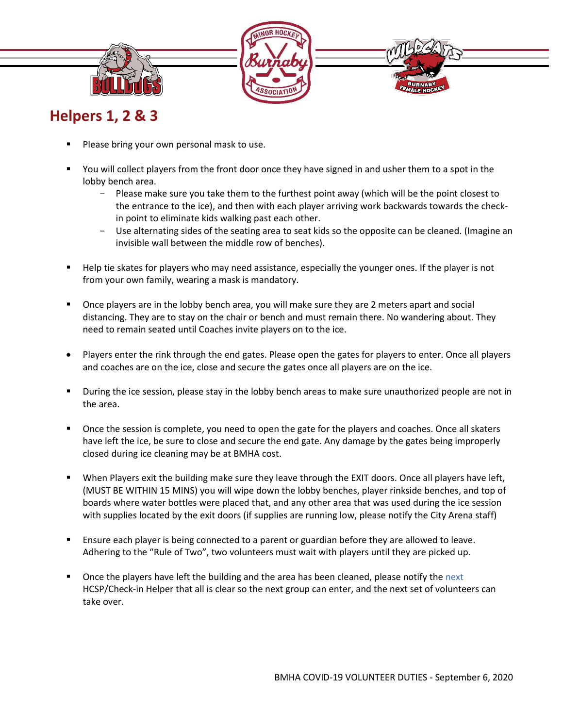

#### **Helpers 1, 2 & 3**

- Please bring your own personal mask to use.
- You will collect players from the front door once they have signed in and usher them to a spot in the lobby bench area.
	- Please make sure you take them to the furthest point away (which will be the point closest to the entrance to the ice), and then with each player arriving work backwards towards the checkin point to eliminate kids walking past each other.
	- Use alternating sides of the seating area to seat kids so the opposite can be cleaned. (Imagine an invisible wall between the middle row of benches).
- Help tie skates for players who may need assistance, especially the younger ones. If the player is not from your own family, wearing a mask is mandatory.
- Once players are in the lobby bench area, you will make sure they are 2 meters apart and social distancing. They are to stay on the chair or bench and must remain there. No wandering about. They need to remain seated until Coaches invite players on to the ice.
- Players enter the rink through the end gates. Please open the gates for players to enter. Once all players and coaches are on the ice, close and secure the gates once all players are on the ice.
- During the ice session, please stay in the lobby bench areas to make sure unauthorized people are not in the area.
- Once the session is complete, you need to open the gate for the players and coaches. Once all skaters have left the ice, be sure to close and secure the end gate. Any damage by the gates being improperly closed during ice cleaning may be at BMHA cost.
- When Players exit the building make sure they leave through the EXIT doors. Once all players have left, (MUST BE WITHIN 15 MINS) you will wipe down the lobby benches, player rinkside benches, and top of boards where water bottles were placed that, and any other area that was used during the ice session with supplies located by the exit doors (if supplies are running low, please notify the City Arena staff)
- Ensure each player is being connected to a parent or guardian before they are allowed to leave. Adhering to the "Rule of Two", two volunteers must wait with players until they are picked up.
- Once the players have left the building and the area has been cleaned, please notify the next HCSP/Check-in Helper that all is clear so the next group can enter, and the next set of volunteers can take over.